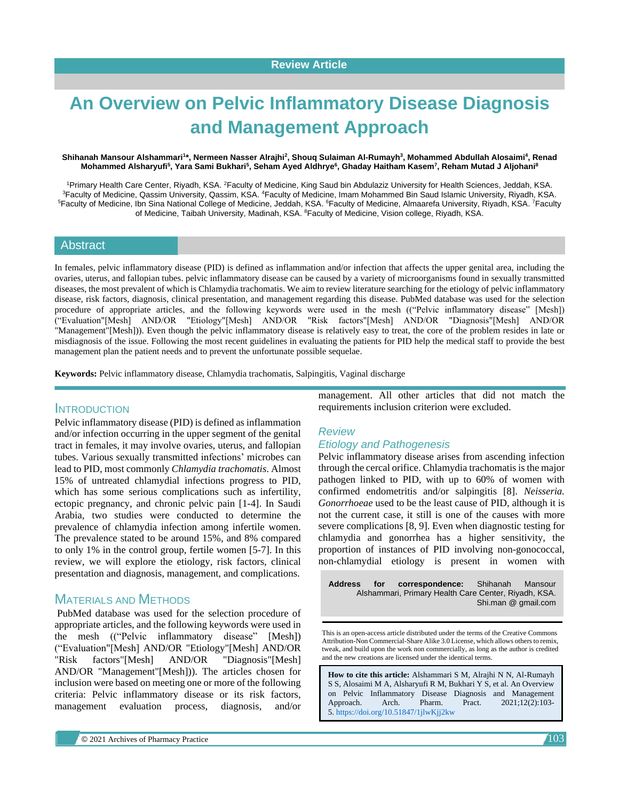# **An Overview on Pelvic Inflammatory Disease Diagnosis and Management Approach**

#### **Shihanah Mansour Alshammari<sup>1</sup> \*, Nermeen Nasser Alrajhi<sup>2</sup> , Shouq Sulaiman Al-Rumayh<sup>3</sup> , Mohammed Abdullah Alosaimi<sup>4</sup> , Renad Mohammed Alsharyufi<sup>5</sup> , Yara Sami Bukhari<sup>5</sup> , Seham Ayed Aldhrye<sup>6</sup> , Ghaday Haitham Kasem<sup>7</sup> , Reham Mutad J Aljohani<sup>8</sup>**

<sup>1</sup>Primary Health Care Center, Riyadh, KSA. <sup>2</sup>Faculty of Medicine, King Saud bin Abdulaziz University for Health Sciences, Jeddah, KSA. <sup>3</sup>Faculty of Medicine, Qassim University, Qassim, KSA. <sup>4</sup>Faculty of Medicine, Imam Mohammed Bin Saud Islamic University, Riyadh, KSA. <sup>5</sup>Faculty of Medicine, Ibn Sina National College of Medicine, Jeddah, KSA. <sup>6</sup>Faculty of Medicine, Almaarefa University, Riyadh, KSA. <sup>7</sup>Faculty of Medicine, Taibah University, Madinah, KSA. <sup>8</sup>Faculty of Medicine, Vision college, Riyadh, KSA.

# **Abstract**

In females, pelvic inflammatory disease (PID) is defined as inflammation and/or infection that affects the upper genital area, including the ovaries, uterus, and fallopian tubes. pelvic inflammatory disease can be caused by a variety of microorganisms found in sexually transmitted diseases, the most prevalent of which is Chlamydia trachomatis. We aim to review literature searching for the etiology of pelvic inflammatory disease, risk factors, diagnosis, clinical presentation, and management regarding this disease. PubMed database was used for the selection procedure of appropriate articles, and the following keywords were used in the mesh (("Pelvic inflammatory disease" [Mesh]) ("Evaluation"[Mesh] AND/OR "Etiology"[Mesh] AND/OR "Risk factors"[Mesh] AND/OR "Diagnosis"[Mesh] AND/OR "Management"[Mesh])). Even though the pelvic inflammatory disease is relatively easy to treat, the core of the problem resides in late or misdiagnosis of the issue. Following the most recent guidelines in evaluating the patients for PID help the medical staff to provide the best management plan the patient needs and to prevent the unfortunate possible sequelae.

**Keywords:** Pelvic inflammatory disease, Chlamydia trachomatis, Salpingitis, Vaginal discharge

### INTRODUCTION

Pelvic inflammatory disease (PID) is defined as inflammation and/or infection occurring in the upper segment of the genital tract in females, it may involve ovaries, uterus, and fallopian tubes. Various sexually transmitted infections' microbes can lead to PID, most commonly *Chlamydia trachomatis*. Almost 15% of untreated chlamydial infections progress to PID, which has some serious complications such as infertility, ectopic pregnancy, and chronic pelvic pain [1-4]. In Saudi Arabia, two studies were conducted to determine the prevalence of chlamydia infection among infertile women. The prevalence stated to be around 15%, and 8% compared to only 1% in the control group, fertile women [5-7]. In this review, we will explore the etiology, risk factors, clinical presentation and diagnosis, management, and complications.

# MATERIALS AND METHODS

PubMed database was used for the selection procedure of appropriate articles, and the following keywords were used in the mesh (("Pelvic inflammatory disease" [Mesh]) ("Evaluation"[Mesh] AND/OR "Etiology"[Mesh] AND/OR "Risk factors"[Mesh] AND/OR "Diagnosis"[Mesh] AND/OR "Management"[Mesh])). The articles chosen for inclusion were based on meeting one or more of the following criteria: Pelvic inflammatory disease or its risk factors, management evaluation process, diagnosis, and/or management. All other articles that did not match the requirements inclusion criterion were excluded.

# *Review Etiology and Pathogenesis*

Pelvic inflammatory disease arises from ascending infection through the cercal orifice. Chlamydia trachomatis is the major pathogen linked to PID, with up to 60% of women with confirmed endometritis and/or salpingitis [8]. *Neisseria. Gonorrhoeae* used to be the least cause of PID, although it is not the current case, it still is one of the causes with more severe complications [8, 9]. Even when diagnostic testing for chlamydia and gonorrhea has a higher sensitivity, the proportion of instances of PID involving non-gonococcal, non-chlamydial etiology is present in women with

**Address for correspondence:** Shihanah Mansour Alshammari, Primary Health Care Center, Riyadh, KSA. Shi.man @ gmail.com

This is an open-access article distributed under the terms of the Creative Commons Attribution-Non Commercial-Share Alike 3.0 License, which allows others to remix, tweak, and build upon the work non commercially, as long as the author is credited and the new creations are licensed under the identical terms.

**How to cite this article:** Alshammari S M, Alrajhi N N, Al-Rumayh S S, Alosaimi M A, Alsharyufi R M, Bukhari Y S, et al. An Overview on Pelvic Inflammatory Disease Diagnosis and Management Approach. Arch. Pharm. Pract. 2021;12(2):103- 5. <https://doi.org/10.51847/1jlwKjj2kw>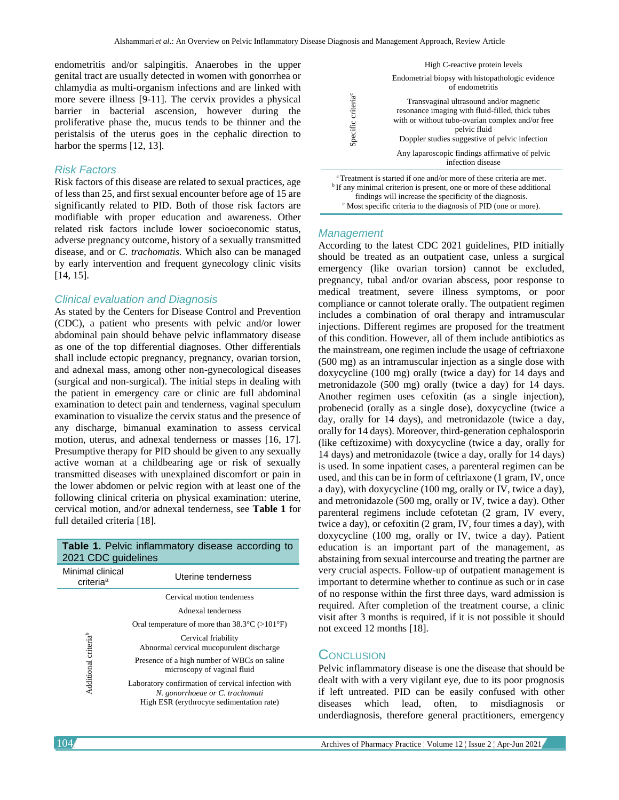endometritis and/or salpingitis. Anaerobes in the upper genital tract are usually detected in women with gonorrhea or chlamydia as multi-organism infections and are linked with more severe illness [9-11]. The cervix provides a physical barrier in bacterial ascension, however during the proliferative phase the, mucus tends to be thinner and the peristalsis of the uterus goes in the cephalic direction to harbor the sperms [12, 13].

#### *Risk Factors*

Risk factors of this disease are related to sexual practices, age of less than 25, and first sexual encounter before age of 15 are significantly related to PID. Both of those risk factors are modifiable with proper education and awareness. Other related risk factors include lower socioeconomic status, adverse pregnancy outcome, history of a sexually transmitted disease, and or *C. trachomatis.* Which also can be managed by early intervention and frequent gynecology clinic visits [14, 15].

### *Clinical evaluation and Diagnosis*

As stated by the Centers for Disease Control and Prevention (CDC), a patient who presents with pelvic and/or lower abdominal pain should behave pelvic inflammatory disease as one of the top differential diagnoses. Other differentials shall include ectopic pregnancy, pregnancy, ovarian torsion, and adnexal mass, among other non-gynecological diseases (surgical and non-surgical). The initial steps in dealing with the patient in emergency care or clinic are full abdominal examination to detect pain and tenderness, vaginal speculum examination to visualize the cervix status and the presence of any discharge, bimanual examination to assess cervical motion, uterus, and adnexal tenderness or masses [16, 17]. Presumptive therapy for PID should be given to any sexually active woman at a childbearing age or risk of sexually transmitted diseases with unexplained discomfort or pain in the lower abdomen or pelvic region with at least one of the following clinical criteria on physical examination: uterine, cervical motion, and/or adnexal tenderness, see **Table 1** for full detailed criteria [18].

| <b>Table 1.</b> Terric imigmmatory disease according to<br>2021 CDC guidelines |                                                                                                                                    |
|--------------------------------------------------------------------------------|------------------------------------------------------------------------------------------------------------------------------------|
| Minimal clinical<br>criteria <sup>a</sup>                                      | Uterine tenderness                                                                                                                 |
| Additional criteria <sup>b</sup>                                               | Cervical motion tenderness                                                                                                         |
|                                                                                | Adnexal tenderness                                                                                                                 |
|                                                                                | Oral temperature of more than $38.3^{\circ}$ C (>101 $^{\circ}$ F)                                                                 |
|                                                                                | Cervical friability<br>Abnormal cervical mucopurulent discharge                                                                    |
|                                                                                | Presence of a high number of WBCs on saline<br>microscopy of vaginal fluid                                                         |
|                                                                                | Laboratory confirmation of cervical infection with<br>N. gonorrhoeae or C. trachomati<br>High ESR (erythrocyte sedimentation rate) |

**Table 1.** Pelvic inflammatory disease according to



<sup>a</sup>Treatment is started if one and/or more of these criteria are met. <sup>b</sup> If any minimal criterion is present, one or more of these additional findings will increase the specificity of the diagnosis. <sup>c</sup> Most specific criteria to the diagnosis of PID (one or more).

#### *Management*

According to the latest CDC 2021 guidelines, PID initially should be treated as an outpatient case, unless a surgical emergency (like ovarian torsion) cannot be excluded, pregnancy, tubal and/or ovarian abscess, poor response to medical treatment, severe illness symptoms, or poor compliance or cannot tolerate orally. The outpatient regimen includes a combination of oral therapy and intramuscular injections. Different regimes are proposed for the treatment of this condition. However, all of them include antibiotics as the mainstream, one regimen include the usage of ceftriaxone (500 mg) as an intramuscular injection as a single dose with doxycycline (100 mg) orally (twice a day) for 14 days and metronidazole (500 mg) orally (twice a day) for 14 days. Another regimen uses cefoxitin (as a single injection), probenecid (orally as a single dose), doxycycline (twice a day, orally for 14 days), and metronidazole (twice a day, orally for 14 days). Moreover, third-generation cephalosporin (like ceftizoxime) with doxycycline (twice a day, orally for 14 days) and metronidazole (twice a day, orally for 14 days) is used. In some inpatient cases, a parenteral regimen can be used, and this can be in form of ceftriaxone (1 gram, IV, once a day), with doxycycline (100 mg, orally or IV, twice a day), and metronidazole (500 mg, orally or IV, twice a day). Other parenteral regimens include cefotetan (2 gram, IV every, twice a day), or cefoxitin (2 gram, IV, four times a day), with doxycycline (100 mg, orally or IV, twice a day). Patient education is an important part of the management, as abstaining from sexual intercourse and treating the partner are very crucial aspects. Follow-up of outpatient management is important to determine whether to continue as such or in case of no response within the first three days, ward admission is required. After completion of the treatment course, a clinic visit after 3 months is required, if it is not possible it should not exceed 12 months [18].

# **CONCLUSION**

Pelvic inflammatory disease is one the disease that should be dealt with with a very vigilant eye, due to its poor prognosis if left untreated. PID can be easily confused with other diseases which lead, often, to misdiagnosis or underdiagnosis, therefore general practitioners, emergency